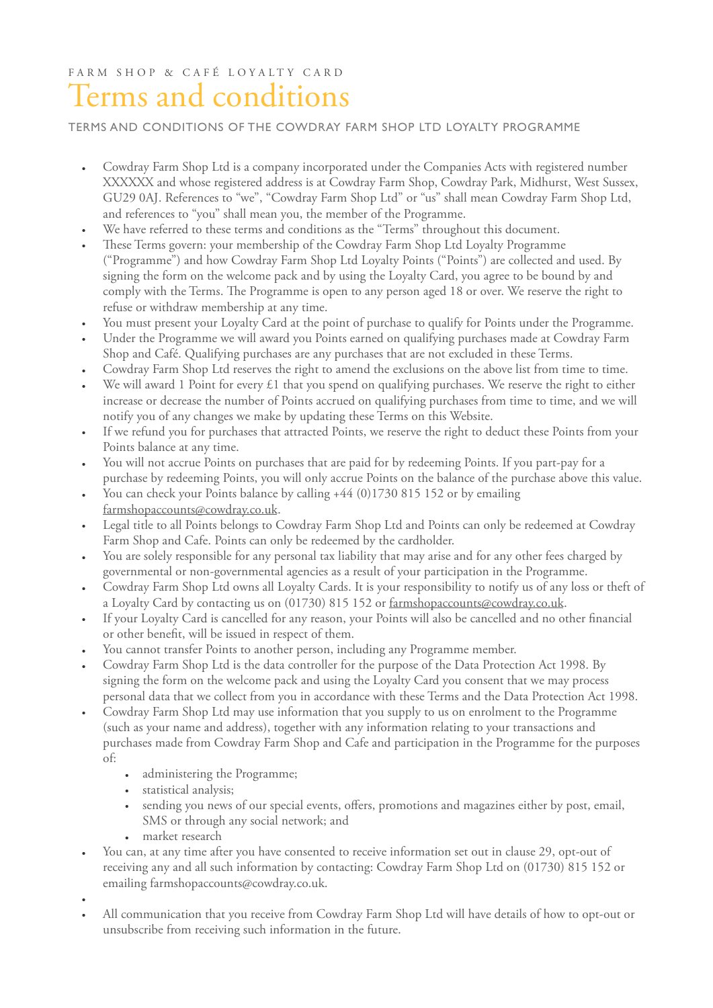## FARM SHOP & CAFÉ LOYALTY CARD Terms and conditions

## TERMS AND CONDITIONS OF THE COWDRAY FARM SHOP LTD LOYALTY PROGRAMME

- Cowdray Farm Shop Ltd is a company incorporated under the Companies Acts with registered number XXXXXX and whose registered address is at Cowdray Farm Shop, Cowdray Park, Midhurst, West Sussex, GU29 0AJ. References to "we", "Cowdray Farm Shop Ltd" or "us" shall mean Cowdray Farm Shop Ltd, and references to "you" shall mean you, the member of the Programme.
- We have referred to these terms and conditions as the "Terms" throughout this document.
- These Terms govern: your membership of the Cowdray Farm Shop Ltd Loyalty Programme ("Programme") and how Cowdray Farm Shop Ltd Loyalty Points ("Points") are collected and used. By signing the form on the welcome pack and by using the Loyalty Card, you agree to be bound by and comply with the Terms. The Programme is open to any person aged 18 or over. We reserve the right to refuse or withdraw membership at any time.
- You must present your Loyalty Card at the point of purchase to qualify for Points under the Programme.
- Under the Programme we will award you Points earned on qualifying purchases made at Cowdray Farm Shop and Café. Qualifying purchases are any purchases that are not excluded in these Terms.
- Cowdray Farm Shop Ltd reserves the right to amend the exclusions on the above list from time to time.
- We will award 1 Point for every £1 that you spend on qualifying purchases. We reserve the right to either increase or decrease the number of Points accrued on qualifying purchases from time to time, and we will notify you of any changes we make by updating these Terms on this Website.
- If we refund you for purchases that attracted Points, we reserve the right to deduct these Points from your Points balance at any time.
- You will not accrue Points on purchases that are paid for by redeeming Points. If you part-pay for a purchase by redeeming Points, you will only accrue Points on the balance of the purchase above this value.
- You can check your Points balance by calling +44 (0)1730 815 152 or by emailing [farmshopaccounts@cowdray.co.uk.](mailto:farmshopaccounts@cowdray.co.uk)
- Legal title to all Points belongs to Cowdray Farm Shop Ltd and Points can only be redeemed at Cowdray Farm Shop and Cafe. Points can only be redeemed by the cardholder.
- You are solely responsible for any personal tax liability that may arise and for any other fees charged by governmental or non-governmental agencies as a result of your participation in the Programme.
- Cowdray Farm Shop Ltd owns all Loyalty Cards. It is your responsibility to notify us of any loss or theft of a Loyalty Card by contacting us on (01730) 815 152 or [farmshopaccounts@cowdray.co.uk.](mailto:farmshopaccounts@cowdray.co.uk)
- If your Loyalty Card is cancelled for any reason, your Points will also be cancelled and no other fnancial or other beneft, will be issued in respect of them.
- You cannot transfer Points to another person, including any Programme member.
- Cowdray Farm Shop Ltd is the data controller for the purpose of the Data Protection Act 1998. By signing the form on the welcome pack and using the Loyalty Card you consent that we may process personal data that we collect from you in accordance with these Terms and the Data Protection Act 1998.
- Cowdray Farm Shop Ltd may use information that you supply to us on enrolment to the Programme (such as your name and address), together with any information relating to your transactions and purchases made from Cowdray Farm Shop and Cafe and participation in the Programme for the purposes of:
	- administering the Programme;
	- statistical analysis;
	- sending you news of our special events, offers, promotions and magazines either by post, email, SMS or through any social network; and
	- market research
- You can, at any time after you have consented to receive information set out in clause 29, opt-out of receiving any and all such information by contacting: Cowdray Farm Shop Ltd on (01730) 815 152 or emailing farmshopaccounts@cowdray.co.uk.

•

• All communication that you receive from Cowdray Farm Shop Ltd will have details of how to opt-out or unsubscribe from receiving such information in the future.